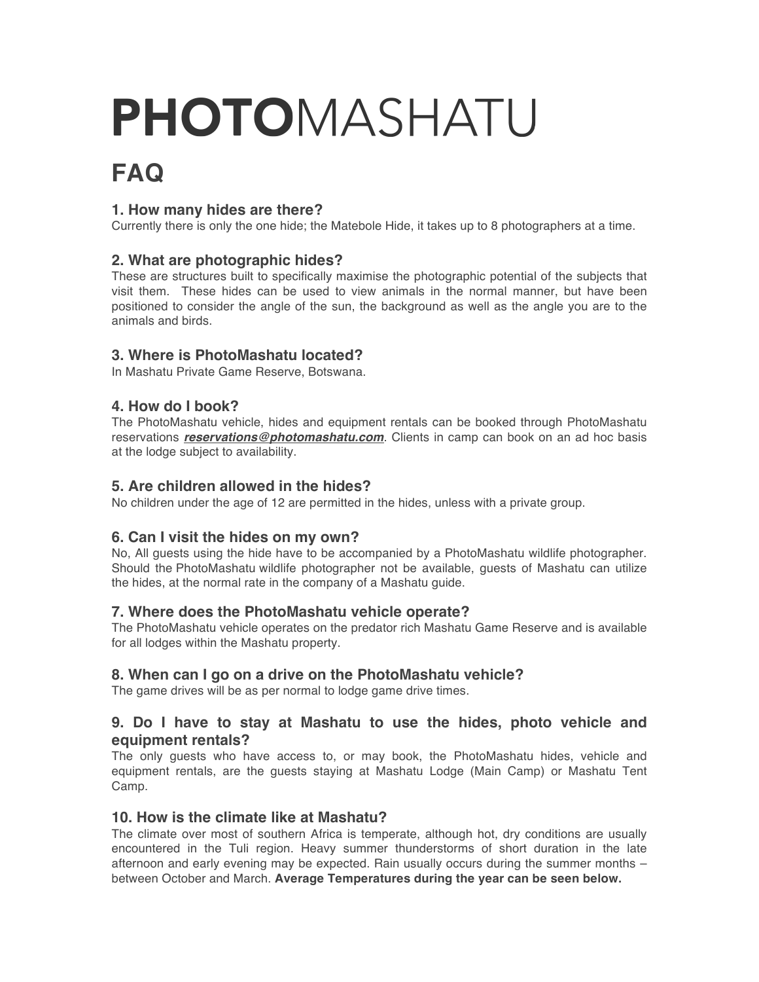# PHOTOMASHATU

# **FAQ**

# **1. How many hides are there?**

Currently there is only the one hide; the Matebole Hide, it takes up to 8 photographers at a time.

# **2. What are photographic hides?**

These are structures built to specifically maximise the photographic potential of the subjects that visit them. These hides can be used to view animals in the normal manner, but have been positioned to consider the angle of the sun, the background as well as the angle you are to the animals and birds.

# **3. Where is PhotoMashatu located?**

In Mashatu Private Game Reserve, Botswana.

# **4. How do I book?**

The PhotoMashatu vehicle, hides and equipment rentals can be booked through PhotoMashatu reservations *reservations@photomashatu.com*. Clients in camp can book on an ad hoc basis at the lodge subject to availability.

# **5. Are children allowed in the hides?**

No children under the age of 12 are permitted in the hides, unless with a private group.

# **6. Can I visit the hides on my own?**

No, All guests using the hide have to be accompanied by a PhotoMashatu wildlife photographer. Should the PhotoMashatu wildlife photographer not be available, guests of Mashatu can utilize the hides, at the normal rate in the company of a Mashatu guide.

# **7. Where does the PhotoMashatu vehicle operate?**

The PhotoMashatu vehicle operates on the predator rich Mashatu Game Reserve and is available for all lodges within the Mashatu property.

# **8. When can I go on a drive on the PhotoMashatu vehicle?**

The game drives will be as per normal to lodge game drive times.

# **9. Do I have to stay at Mashatu to use the hides, photo vehicle and equipment rentals?**

The only guests who have access to, or may book, the PhotoMashatu hides, vehicle and equipment rentals, are the guests staying at Mashatu Lodge (Main Camp) or Mashatu Tent Camp.

#### **10. How is the climate like at Mashatu?**

The climate over most of southern Africa is temperate, although hot, dry conditions are usually encountered in the Tuli region. Heavy summer thunderstorms of short duration in the late afternoon and early evening may be expected. Rain usually occurs during the summer months – between October and March. **Average Temperatures during the year can be seen below.**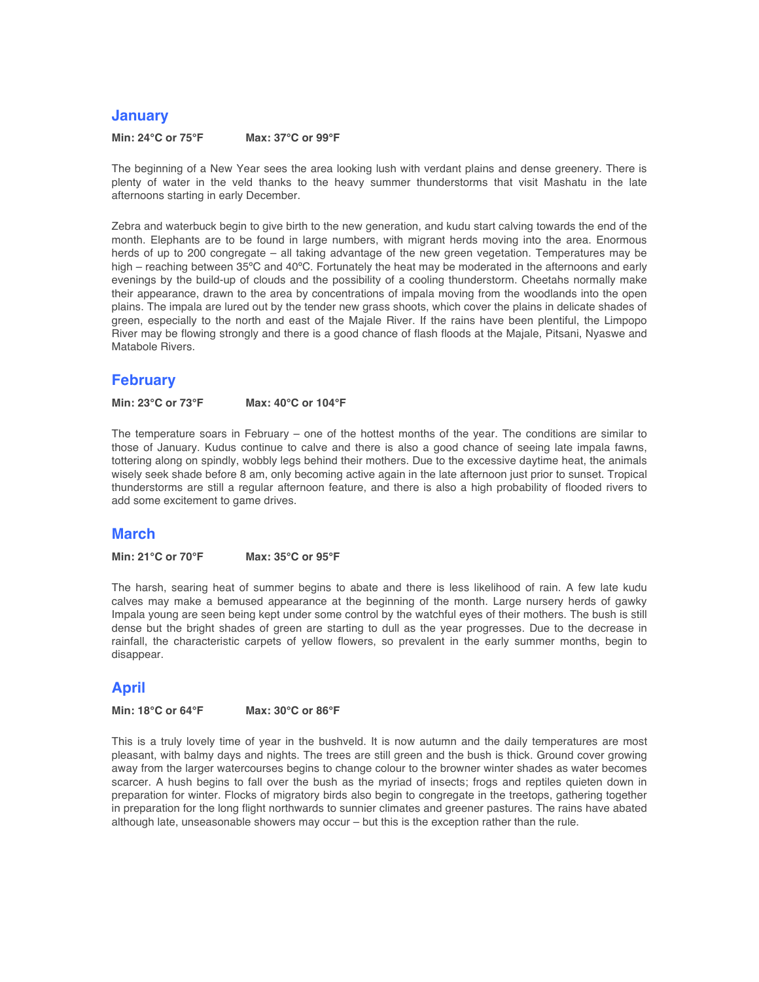#### **January**

**Min: 24°C or 75°F Max: 37°C or 99°F**

The beginning of a New Year sees the area looking lush with verdant plains and dense greenery. There is plenty of water in the veld thanks to the heavy summer thunderstorms that visit Mashatu in the late afternoons starting in early December.

Zebra and waterbuck begin to give birth to the new generation, and kudu start calving towards the end of the month. Elephants are to be found in large numbers, with migrant herds moving into the area. Enormous herds of up to 200 congregate – all taking advantage of the new green vegetation. Temperatures may be high – reaching between 35°C and 40°C. Fortunately the heat may be moderated in the afternoons and early evenings by the build-up of clouds and the possibility of a cooling thunderstorm. Cheetahs normally make their appearance, drawn to the area by concentrations of impala moving from the woodlands into the open plains. The impala are lured out by the tender new grass shoots, which cover the plains in delicate shades of green, especially to the north and east of the Majale River. If the rains have been plentiful, the Limpopo River may be flowing strongly and there is a good chance of flash floods at the Majale, Pitsani, Nyaswe and Matabole Rivers.

#### **February**

**Min: 23°C or 73°F Max: 40°C or 104°F**

The temperature soars in February – one of the hottest months of the year. The conditions are similar to those of January. Kudus continue to calve and there is also a good chance of seeing late impala fawns, tottering along on spindly, wobbly legs behind their mothers. Due to the excessive daytime heat, the animals wisely seek shade before 8 am, only becoming active again in the late afternoon just prior to sunset. Tropical thunderstorms are still a regular afternoon feature, and there is also a high probability of flooded rivers to add some excitement to game drives.

#### **March**

**Min: 21°C or 70°F Max: 35°C or 95°F**

The harsh, searing heat of summer begins to abate and there is less likelihood of rain. A few late kudu calves may make a bemused appearance at the beginning of the month. Large nursery herds of gawky Impala young are seen being kept under some control by the watchful eyes of their mothers. The bush is still dense but the bright shades of green are starting to dull as the year progresses. Due to the decrease in rainfall, the characteristic carpets of yellow flowers, so prevalent in the early summer months, begin to disappear.

#### **April**

**Min: 18°C or 64°F Max: 30°C or 86°F**

This is a truly lovely time of year in the bushveld. It is now autumn and the daily temperatures are most pleasant, with balmy days and nights. The trees are still green and the bush is thick. Ground cover growing away from the larger watercourses begins to change colour to the browner winter shades as water becomes scarcer. A hush begins to fall over the bush as the myriad of insects; frogs and reptiles quieten down in preparation for winter. Flocks of migratory birds also begin to congregate in the treetops, gathering together in preparation for the long flight northwards to sunnier climates and greener pastures. The rains have abated although late, unseasonable showers may occur – but this is the exception rather than the rule.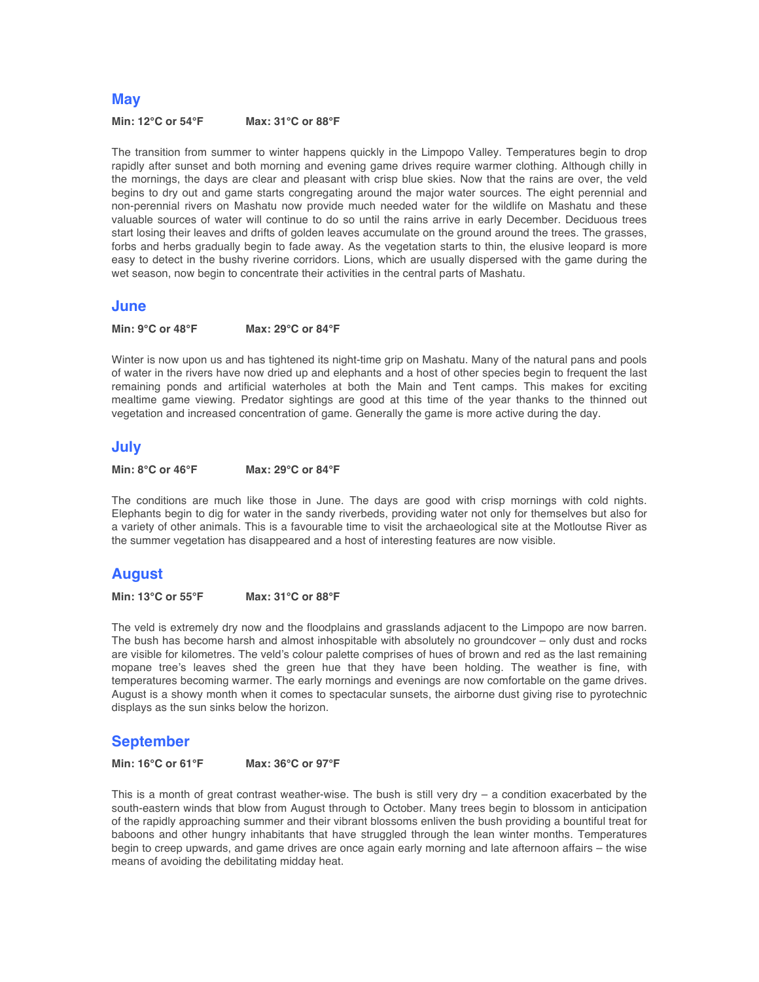#### **May**

**Min: 12°C or 54°F Max: 31°C or 88°F**

The transition from summer to winter happens quickly in the Limpopo Valley. Temperatures begin to drop rapidly after sunset and both morning and evening game drives require warmer clothing. Although chilly in the mornings, the days are clear and pleasant with crisp blue skies. Now that the rains are over, the veld begins to dry out and game starts congregating around the major water sources. The eight perennial and non-perennial rivers on Mashatu now provide much needed water for the wildlife on Mashatu and these valuable sources of water will continue to do so until the rains arrive in early December. Deciduous trees start losing their leaves and drifts of golden leaves accumulate on the ground around the trees. The grasses, forbs and herbs gradually begin to fade away. As the vegetation starts to thin, the elusive leopard is more easy to detect in the bushy riverine corridors. Lions, which are usually dispersed with the game during the wet season, now begin to concentrate their activities in the central parts of Mashatu.

#### **June**

**Min: 9°C or 48°F Max: 29°C or 84°F**

Winter is now upon us and has tightened its night-time grip on Mashatu. Many of the natural pans and pools of water in the rivers have now dried up and elephants and a host of other species begin to frequent the last remaining ponds and artificial waterholes at both the Main and Tent camps. This makes for exciting mealtime game viewing. Predator sightings are good at this time of the year thanks to the thinned out vegetation and increased concentration of game. Generally the game is more active during the day.

#### **July**

**Min: 8°C or 46°F Max: 29°C or 84°F**

The conditions are much like those in June. The days are good with crisp mornings with cold nights. Elephants begin to dig for water in the sandy riverbeds, providing water not only for themselves but also for a variety of other animals. This is a favourable time to visit the archaeological site at the Motloutse River as the summer vegetation has disappeared and a host of interesting features are now visible.

#### **August**

**Min: 13°C or 55°F Max: 31°C or 88°F**

The veld is extremely dry now and the floodplains and grasslands adjacent to the Limpopo are now barren. The bush has become harsh and almost inhospitable with absolutely no groundcover – only dust and rocks are visible for kilometres. The veld's colour palette comprises of hues of brown and red as the last remaining mopane tree's leaves shed the green hue that they have been holding. The weather is fine, with temperatures becoming warmer. The early mornings and evenings are now comfortable on the game drives. August is a showy month when it comes to spectacular sunsets, the airborne dust giving rise to pyrotechnic displays as the sun sinks below the horizon.

#### **September**

**Min: 16°C or 61°F Max: 36°C or 97°F**

This is a month of great contrast weather-wise. The bush is still very dry  $-$  a condition exacerbated by the south-eastern winds that blow from August through to October. Many trees begin to blossom in anticipation of the rapidly approaching summer and their vibrant blossoms enliven the bush providing a bountiful treat for baboons and other hungry inhabitants that have struggled through the lean winter months. Temperatures begin to creep upwards, and game drives are once again early morning and late afternoon affairs – the wise means of avoiding the debilitating midday heat.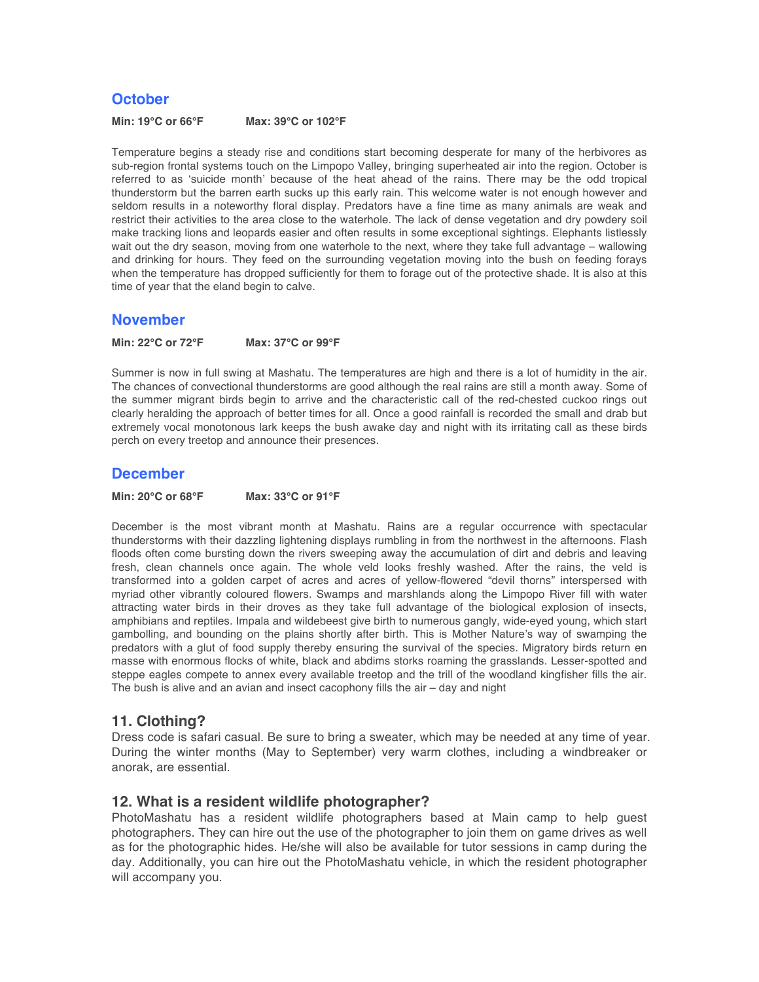#### **October**

**Min: 19°C or 66°F Max: 39°C or 102°F**

Temperature begins a steady rise and conditions start becoming desperate for many of the herbivores as sub-region frontal systems touch on the Limpopo Valley, bringing superheated air into the region. October is referred to as 'suicide month' because of the heat ahead of the rains. There may be the odd tropical thunderstorm but the barren earth sucks up this early rain. This welcome water is not enough however and seldom results in a noteworthy floral display. Predators have a fine time as many animals are weak and restrict their activities to the area close to the waterhole. The lack of dense vegetation and dry powdery soil make tracking lions and leopards easier and often results in some exceptional sightings. Elephants listlessly wait out the dry season, moving from one waterhole to the next, where they take full advantage – wallowing and drinking for hours. They feed on the surrounding vegetation moving into the bush on feeding forays when the temperature has dropped sufficiently for them to forage out of the protective shade. It is also at this time of year that the eland begin to calve.

#### **November**

**Min: 22°C or 72°F Max: 37°C or 99°F**

Summer is now in full swing at Mashatu. The temperatures are high and there is a lot of humidity in the air. The chances of convectional thunderstorms are good although the real rains are still a month away. Some of the summer migrant birds begin to arrive and the characteristic call of the red-chested cuckoo rings out clearly heralding the approach of better times for all. Once a good rainfall is recorded the small and drab but extremely vocal monotonous lark keeps the bush awake day and night with its irritating call as these birds perch on every treetop and announce their presences.

#### **December**

**Min: 20°C or 68°F Max: 33°C or 91°F**

December is the most vibrant month at Mashatu. Rains are a regular occurrence with spectacular thunderstorms with their dazzling lightening displays rumbling in from the northwest in the afternoons. Flash floods often come bursting down the rivers sweeping away the accumulation of dirt and debris and leaving fresh, clean channels once again. The whole veld looks freshly washed. After the rains, the veld is transformed into a golden carpet of acres and acres of yellow-flowered "devil thorns" interspersed with myriad other vibrantly coloured flowers. Swamps and marshlands along the Limpopo River fill with water attracting water birds in their droves as they take full advantage of the biological explosion of insects, amphibians and reptiles. Impala and wildebeest give birth to numerous gangly, wide-eyed young, which start gambolling, and bounding on the plains shortly after birth. This is Mother Nature's way of swamping the predators with a glut of food supply thereby ensuring the survival of the species. Migratory birds return en masse with enormous flocks of white, black and abdims storks roaming the grasslands. Lesser-spotted and steppe eagles compete to annex every available treetop and the trill of the woodland kingfisher fills the air. The bush is alive and an avian and insect cacophony fills the air – day and night

#### **11. Clothing?**

Dress code is safari casual. Be sure to bring a sweater, which may be needed at any time of year. During the winter months (May to September) very warm clothes, including a windbreaker or anorak, are essential.

#### **12. What is a resident wildlife photographer?**

PhotoMashatu has a resident wildlife photographers based at Main camp to help guest photographers. They can hire out the use of the photographer to join them on game drives as well as for the photographic hides. He/she will also be available for tutor sessions in camp during the day. Additionally, you can hire out the PhotoMashatu vehicle, in which the resident photographer will accompany you.